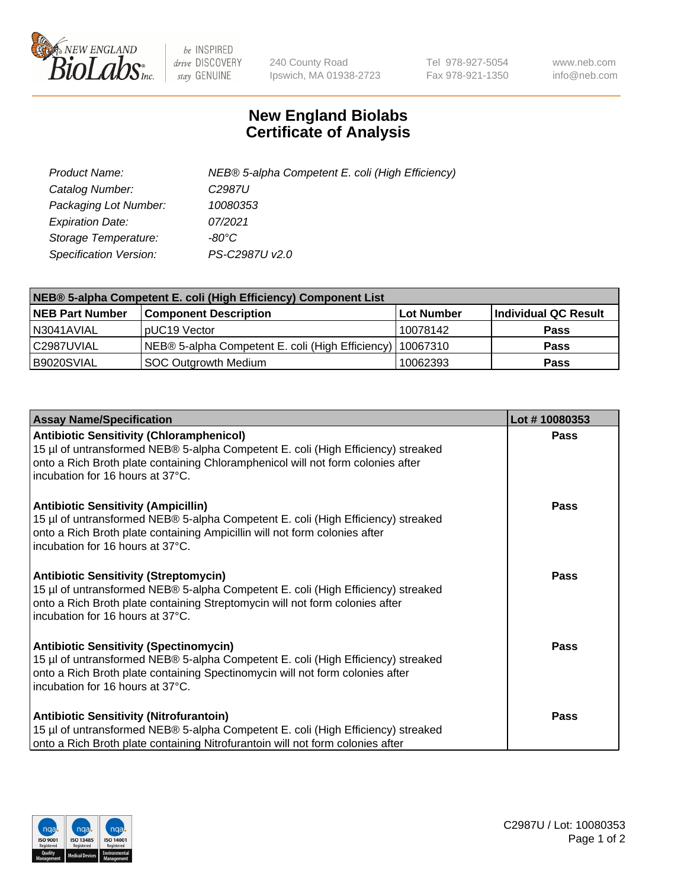

 $be$  INSPIRED drive DISCOVERY stay GENUINE

240 County Road Ipswich, MA 01938-2723 Tel 978-927-5054 Fax 978-921-1350 www.neb.com info@neb.com

## **New England Biolabs Certificate of Analysis**

| Product Name:                 | NEB® 5-alpha Competent E. coli (High Efficiency) |
|-------------------------------|--------------------------------------------------|
| Catalog Number:               | C <sub>2987</sub> U                              |
| Packaging Lot Number:         | 10080353                                         |
| <b>Expiration Date:</b>       | 07/2021                                          |
| Storage Temperature:          | -80°C                                            |
| <b>Specification Version:</b> | PS-C2987U v2.0                                   |

| NEB® 5-alpha Competent E. coli (High Efficiency) Component List |                                                             |            |                      |  |
|-----------------------------------------------------------------|-------------------------------------------------------------|------------|----------------------|--|
| <b>NEB Part Number</b>                                          | <b>Component Description</b>                                | Lot Number | Individual QC Result |  |
| N3041AVIAL                                                      | pUC19 Vector                                                | 10078142   | <b>Pass</b>          |  |
| C2987UVIAL                                                      | NEB® 5-alpha Competent E. coli (High Efficiency)   10067310 |            | <b>Pass</b>          |  |
| B9020SVIAL                                                      | <b>SOC Outgrowth Medium</b>                                 | 10062393   | <b>Pass</b>          |  |

| <b>Assay Name/Specification</b>                                                                                                                                                                                                                            | Lot #10080353 |
|------------------------------------------------------------------------------------------------------------------------------------------------------------------------------------------------------------------------------------------------------------|---------------|
| <b>Antibiotic Sensitivity (Chloramphenicol)</b><br>15 µl of untransformed NEB® 5-alpha Competent E. coli (High Efficiency) streaked<br>onto a Rich Broth plate containing Chloramphenicol will not form colonies after<br>incubation for 16 hours at 37°C. | Pass          |
| <b>Antibiotic Sensitivity (Ampicillin)</b><br>15 µl of untransformed NEB® 5-alpha Competent E. coli (High Efficiency) streaked<br>onto a Rich Broth plate containing Ampicillin will not form colonies after<br>incubation for 16 hours at 37°C.           | Pass          |
| <b>Antibiotic Sensitivity (Streptomycin)</b><br>15 µl of untransformed NEB® 5-alpha Competent E. coli (High Efficiency) streaked<br>onto a Rich Broth plate containing Streptomycin will not form colonies after<br>incubation for 16 hours at 37°C.       | <b>Pass</b>   |
| <b>Antibiotic Sensitivity (Spectinomycin)</b><br>15 µl of untransformed NEB® 5-alpha Competent E. coli (High Efficiency) streaked<br>onto a Rich Broth plate containing Spectinomycin will not form colonies after<br>incubation for 16 hours at 37°C.     | Pass          |
| <b>Antibiotic Sensitivity (Nitrofurantoin)</b><br>15 µl of untransformed NEB® 5-alpha Competent E. coli (High Efficiency) streaked<br>onto a Rich Broth plate containing Nitrofurantoin will not form colonies after                                       | Pass          |